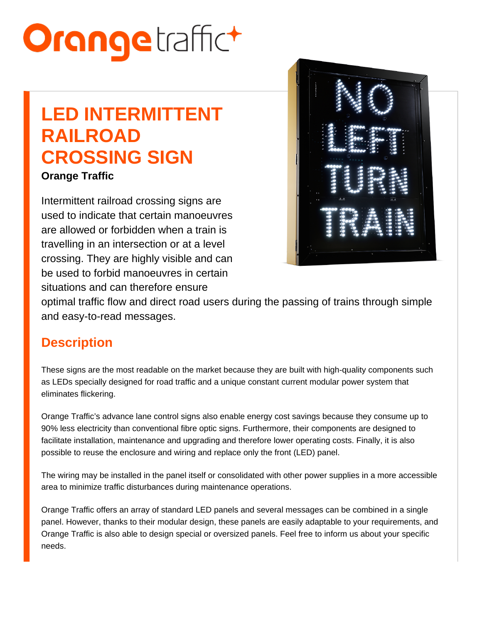# LED INTERMITTENT RAILROAD CROSSING SIGN

Orange Traffic

Intermittent railroad crossing signs are used to indicate that certain manoeuvres are allowed or forbidden when a train is travelling in an intersection or at a level crossing. They are highly visible and can be used to forbid manoeuvres in certain situations and can therefore ensure optimal traffic flow and direct road users during the passing of trains through simple and easy-to-read messages.

### **Description**

These signs are the most readable on the market because they are built with high-quality components such as LEDs specially designed for road traffic and a unique constant current modular power system that eliminates flickering.

Orange Traffic's advance lane control signs also enable energy cost savings because they consume up to 90% less electricity than conventional fibre optic signs. Furthermore, their components are designed to facilitate installation, maintenance and upgrading and therefore lower operating costs. Finally, it is also possible to reuse the enclosure and wiring and replace only the front (LED) panel.

The wiring may be installed in the panel itself or consolidated with other power supplies in a more accessible area to minimize traffic disturbances during maintenance operations.

Orange Traffic offers an array of standard LED panels and several messages can be combined in a single panel. However, thanks to their modular design, these panels are easily adaptable to your requirements, and Orange Traffic is also able to design special or oversized panels. Feel free to inform us about your specific needs.